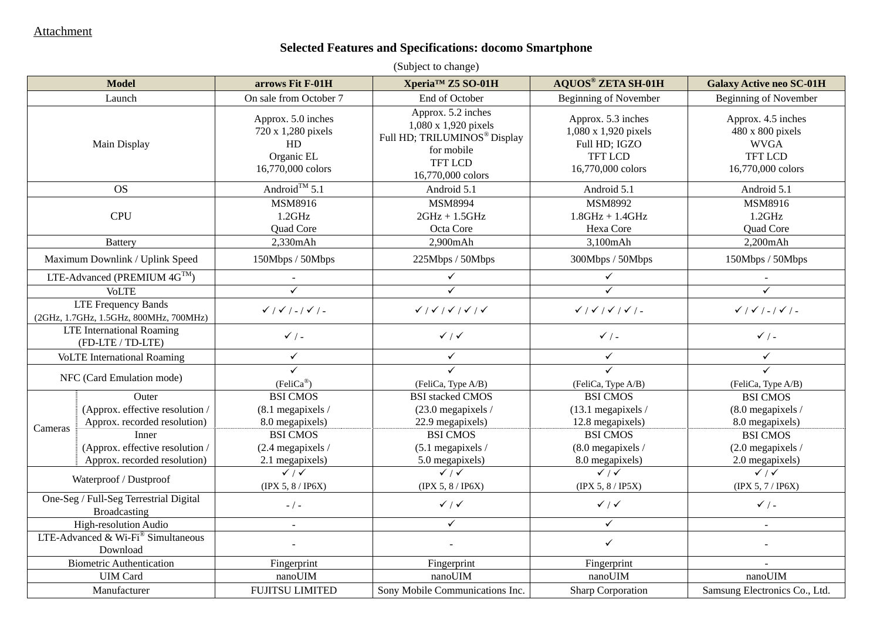### **Selected Features and Specifications: docomo Smartphone**

| (Subject to change)                                           |                                                                                 |                                                                                   |                                                                                                                                             |                                                                                                    |                                                                                              |
|---------------------------------------------------------------|---------------------------------------------------------------------------------|-----------------------------------------------------------------------------------|---------------------------------------------------------------------------------------------------------------------------------------------|----------------------------------------------------------------------------------------------------|----------------------------------------------------------------------------------------------|
|                                                               | <b>Model</b>                                                                    | arrows Fit F-01H                                                                  | Xperia™ Z5 SO-01H                                                                                                                           | <b>AQUOS® ZETA SH-01H</b>                                                                          | <b>Galaxy Active neo SC-01H</b>                                                              |
|                                                               | Launch                                                                          | On sale from October 7                                                            | End of October                                                                                                                              | <b>Beginning of November</b>                                                                       | Beginning of November                                                                        |
|                                                               | Main Display                                                                    | Approx. 5.0 inches<br>720 x 1,280 pixels<br>HD<br>Organic EL<br>16,770,000 colors | Approx. 5.2 inches<br>1,080 x 1,920 pixels<br>Full HD; TRILUMINOS <sup>®</sup> Display<br>for mobile<br><b>TFT LCD</b><br>16,770,000 colors | Approx. 5.3 inches<br>1,080 x 1,920 pixels<br>Full HD; IGZO<br><b>TFT LCD</b><br>16,770,000 colors | Approx. 4.5 inches<br>480 x 800 pixels<br><b>WVGA</b><br><b>TFT LCD</b><br>16,770,000 colors |
|                                                               | <b>OS</b>                                                                       | Android <sup>TM</sup> 5.1                                                         | Android 5.1                                                                                                                                 | Android 5.1                                                                                        | Android 5.1                                                                                  |
|                                                               | <b>CPU</b>                                                                      | MSM8916<br>$1.2$ GHz<br>Quad Core                                                 | MSM8994<br>$2GHz + 1.5GHz$<br>Octa Core                                                                                                     | MSM8992<br>$1.8$ GHz + $1.4$ GHz<br>Hexa Core                                                      | MSM8916<br>$1.2$ GHz<br>Quad Core                                                            |
|                                                               | <b>Battery</b>                                                                  | 2,330mAh                                                                          | 2,900mAh                                                                                                                                    | 3,100mAh                                                                                           | 2,200mAh                                                                                     |
|                                                               | Maximum Downlink / Uplink Speed                                                 | 150Mbps / 50Mbps                                                                  | 225Mbps / 50Mbps                                                                                                                            | 300Mbps / 50Mbps                                                                                   | 150Mbps / 50Mbps                                                                             |
|                                                               | LTE-Advanced (PREMIUM $4G^{TM}$ )                                               | $\sim$                                                                            | $\checkmark$                                                                                                                                | $\checkmark$                                                                                       |                                                                                              |
|                                                               | <b>VoLTE</b>                                                                    | $\checkmark$                                                                      | $\checkmark$                                                                                                                                | $\checkmark$                                                                                       | $\checkmark$                                                                                 |
| LTE Frequency Bands<br>(2GHz, 1.7GHz, 1.5GHz, 800MHz, 700MHz) |                                                                                 | $\checkmark$ / $\checkmark$ / - / $\checkmark$ / -                                |                                                                                                                                             | $\checkmark$ / $\checkmark$ / $\checkmark$ / $\checkmark$ / -                                      | $\checkmark$ / $\checkmark$ / - / $\checkmark$ / -                                           |
| <b>LTE</b> International Roaming<br>(FD-LTE / TD-LTE)         |                                                                                 | $\checkmark$ / -                                                                  | $\checkmark$ / $\checkmark$                                                                                                                 | $\checkmark$ / -                                                                                   | $\checkmark$ / -                                                                             |
| <b>VoLTE</b> International Roaming                            |                                                                                 | $\checkmark$                                                                      | $\checkmark$                                                                                                                                | $\checkmark$                                                                                       | $\checkmark$                                                                                 |
|                                                               | NFC (Card Emulation mode)                                                       | ✓<br>$(FeliCa^{\circledR})$                                                       | (FeliCa, Type A/B)                                                                                                                          | ✓<br>(FeliCa, Type A/B)                                                                            | ✓<br>(FeliCa, Type A/B)                                                                      |
| Cameras                                                       | <b>Outer</b><br>(Approx. effective resolution /<br>Approx. recorded resolution) | <b>BSI CMOS</b><br>$(8.1$ megapixels /<br>8.0 megapixels)                         | <b>BSI</b> stacked CMOS<br>$(23.0$ megapixels /<br>22.9 megapixels)                                                                         | <b>BSI CMOS</b><br>$(13.1$ megapixels /<br>12.8 megapixels)                                        | <b>BSI CMOS</b><br>(8.0 megapixels /<br>8.0 megapixels)                                      |
|                                                               | Inner<br>(Approx. effective resolution /<br>Approx. recorded resolution)        | <b>BSI CMOS</b><br>$(2.4$ megapixels /<br>2.1 megapixels)                         | <b>BSI CMOS</b><br>$(5.1$ megapixels /<br>5.0 megapixels)                                                                                   | <b>BSI CMOS</b><br>(8.0 megapixels /<br>8.0 megapixels)                                            | <b>BSI CMOS</b><br>$(2.0$ megapixels /<br>2.0 megapixels)                                    |
| Waterproof / Dustproof                                        |                                                                                 | $\sqrt{11}$<br>(IPX 5, 8/IP6X)                                                    | $\sqrt{11}$<br>(IPX 5, 8/IP6X)                                                                                                              | $\sqrt{11}$<br>(IPX 5, 8/IP5X)                                                                     | $\sqrt{11}$<br>(IPX 5, 7/IP6X)                                                               |
| One-Seg / Full-Seg Terrestrial Digital<br>Broadcasting        |                                                                                 | $-$ / $-$                                                                         | $\checkmark$ / $\checkmark$                                                                                                                 | $\checkmark$ / $\checkmark$                                                                        | $\checkmark$ / -                                                                             |
| High-resolution Audio                                         |                                                                                 | $\sim$                                                                            | $\checkmark$                                                                                                                                | $\checkmark$                                                                                       |                                                                                              |
| LTE-Advanced & Wi-Fi $^{\circ}$ Simultaneous<br>Download      |                                                                                 |                                                                                   |                                                                                                                                             | $\checkmark$                                                                                       |                                                                                              |
|                                                               | <b>Biometric Authentication</b>                                                 | Fingerprint                                                                       | Fingerprint                                                                                                                                 | Fingerprint                                                                                        |                                                                                              |
|                                                               | <b>UIM</b> Card                                                                 | nanoUIM                                                                           | nanoUIM                                                                                                                                     | nanoUIM                                                                                            | nanoUIM                                                                                      |
| Manufacturer                                                  |                                                                                 | <b>FUJITSU LIMITED</b>                                                            | Sony Mobile Communications Inc.                                                                                                             | <b>Sharp Corporation</b>                                                                           | Samsung Electronics Co., Ltd.                                                                |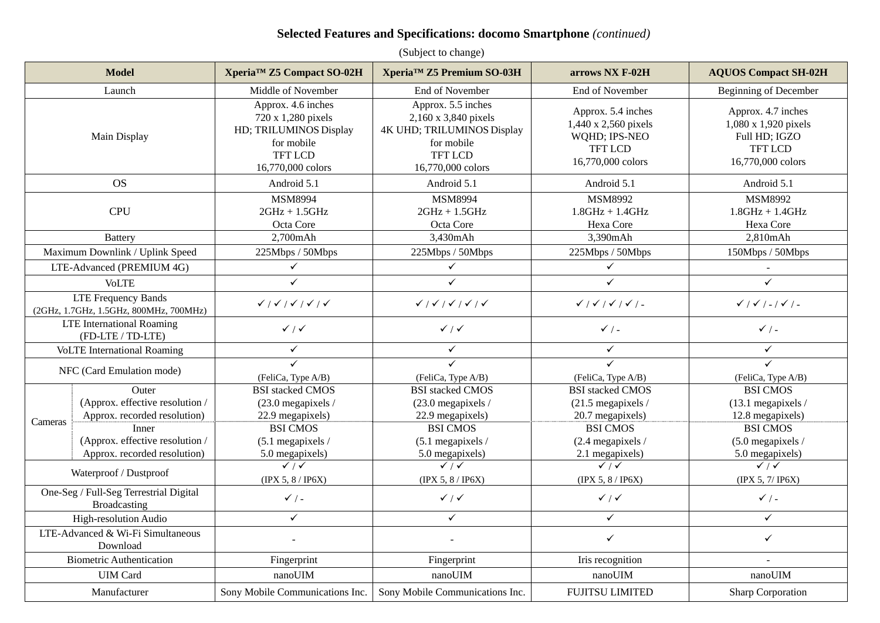#### **Selected Features and Specifications: docomo Smartphone** *(continued)*

|                                                               | Xperia <sup>™</sup> Z5 Premium SO-03H<br><b>Model</b><br>Xperia <sup>™</sup> Z5 Compact SO-02H |                                                                                                                         | arrows NX F-02H                                                                                                               | <b>AQUOS Compact SH-02H</b>                                                                        |                                                                                                    |
|---------------------------------------------------------------|------------------------------------------------------------------------------------------------|-------------------------------------------------------------------------------------------------------------------------|-------------------------------------------------------------------------------------------------------------------------------|----------------------------------------------------------------------------------------------------|----------------------------------------------------------------------------------------------------|
|                                                               | Launch                                                                                         | Middle of November                                                                                                      | End of November                                                                                                               | End of November                                                                                    | <b>Beginning of December</b>                                                                       |
|                                                               | Main Display                                                                                   | Approx. 4.6 inches<br>720 x 1,280 pixels<br>HD; TRILUMINOS Display<br>for mobile<br><b>TFT LCD</b><br>16,770,000 colors | Approx. 5.5 inches<br>2,160 x 3,840 pixels<br>4K UHD; TRILUMINOS Display<br>for mobile<br><b>TFT LCD</b><br>16,770,000 colors | Approx. 5.4 inches<br>1,440 x 2,560 pixels<br>WQHD; IPS-NEO<br><b>TFT LCD</b><br>16,770,000 colors | Approx. 4.7 inches<br>1,080 x 1,920 pixels<br>Full HD; IGZO<br><b>TFT LCD</b><br>16,770,000 colors |
|                                                               | <b>OS</b>                                                                                      | Android 5.1                                                                                                             | Android 5.1                                                                                                                   | Android 5.1                                                                                        | Android 5.1                                                                                        |
|                                                               | <b>CPU</b>                                                                                     | MSM8994<br>$2GHz + 1.5GHz$<br>Octa Core                                                                                 | MSM8994<br>$2GHz + 1.5GHz$<br>Octa Core                                                                                       | MSM8992<br>$1.8$ GHz + $1.4$ GHz<br>Hexa Core                                                      | MSM8992<br>$1.8$ GHz + $1.4$ GHz<br>Hexa Core                                                      |
|                                                               | <b>Battery</b>                                                                                 | 2,700mAh                                                                                                                | 3,430mAh                                                                                                                      | 3,390mAh                                                                                           | 2,810mAh                                                                                           |
|                                                               | Maximum Downlink / Uplink Speed                                                                | 225Mbps / 50Mbps                                                                                                        | 225Mbps / 50Mbps                                                                                                              | 225Mbps / 50Mbps                                                                                   | 150Mbps / 50Mbps                                                                                   |
|                                                               | LTE-Advanced (PREMIUM 4G)                                                                      | $\checkmark$                                                                                                            | $\checkmark$                                                                                                                  | $\checkmark$                                                                                       |                                                                                                    |
| <b>VoLTE</b>                                                  |                                                                                                | $\checkmark$                                                                                                            | $\checkmark$                                                                                                                  | $\checkmark$                                                                                       | $\checkmark$                                                                                       |
| LTE Frequency Bands<br>(2GHz, 1.7GHz, 1.5GHz, 800MHz, 700MHz) |                                                                                                | $\checkmark$ / $\checkmark$ / $\checkmark$ / $\checkmark$ / $\checkmark$                                                | $\checkmark$ / $\checkmark$ / $\checkmark$ / $\checkmark$ / $\checkmark$                                                      | $\checkmark$   $\checkmark$   $\checkmark$   $\checkmark$   -                                      | $\checkmark$ / $\checkmark$ / - / $\checkmark$ / -                                                 |
| <b>LTE</b> International Roaming<br>(FD-LTE / TD-LTE)         |                                                                                                | $\checkmark$ / $\checkmark$                                                                                             | $\checkmark$ / $\checkmark$                                                                                                   | $\checkmark$ / -                                                                                   | $\checkmark$ / -                                                                                   |
| <b>VoLTE</b> International Roaming                            |                                                                                                | $\checkmark$                                                                                                            | $\checkmark$                                                                                                                  | $\checkmark$                                                                                       | $\checkmark$                                                                                       |
| NFC (Card Emulation mode)                                     |                                                                                                | ✓                                                                                                                       | $\checkmark$                                                                                                                  | $\checkmark$                                                                                       | $\checkmark$                                                                                       |
|                                                               |                                                                                                | (FeliCa, Type A/B)                                                                                                      | (FeliCa, Type A/B)                                                                                                            | (FeliCa, Type A/B)                                                                                 | (FeliCa, Type A/B)                                                                                 |
|                                                               | Outer                                                                                          | <b>BSI</b> stacked CMOS                                                                                                 | <b>BSI</b> stacked CMOS                                                                                                       | <b>BSI</b> stacked CMOS                                                                            | <b>BSI CMOS</b>                                                                                    |
|                                                               | (Approx. effective resolution /                                                                | $(23.0$ megapixels /                                                                                                    | (23.0 megapixels /                                                                                                            | $(21.5$ megapixels /                                                                               | (13.1 megapixels /                                                                                 |
| Cameras                                                       | Approx. recorded resolution)                                                                   | 22.9 megapixels)                                                                                                        | 22.9 megapixels)                                                                                                              | 20.7 megapixels)                                                                                   | 12.8 megapixels)                                                                                   |
|                                                               | Inner                                                                                          | <b>BSI CMOS</b>                                                                                                         | <b>BSI CMOS</b>                                                                                                               | <b>BSI CMOS</b>                                                                                    | <b>BSI CMOS</b>                                                                                    |
|                                                               | (Approx. effective resolution /                                                                | $(5.1$ megapixels /                                                                                                     | $(5.1$ megapixels /                                                                                                           | $(2.4$ megapixels /                                                                                | $(5.0$ megapixels /                                                                                |
|                                                               | Approx. recorded resolution)                                                                   | 5.0 megapixels)                                                                                                         | 5.0 megapixels)                                                                                                               | 2.1 megapixels)                                                                                    | 5.0 megapixels)                                                                                    |
|                                                               | Waterproof / Dustproof                                                                         | $\sqrt{11}$                                                                                                             | $\sqrt{11}$                                                                                                                   | $\sqrt{11}$                                                                                        | $\sqrt{11}$                                                                                        |
| One-Seg / Full-Seg Terrestrial Digital                        |                                                                                                | (IPX 5, 8/IP6X)<br>$\checkmark$ / -                                                                                     | (IPX 5, 8/IP6X)<br>$\checkmark$ / $\checkmark$                                                                                | (IPX 5, 8/IP6X)<br>$\checkmark$ / $\checkmark$                                                     | (IPX 5, 7/IP6X)<br>$\checkmark$ / -                                                                |
| Broadcasting<br>High-resolution Audio                         |                                                                                                | $\checkmark$                                                                                                            | $\checkmark$                                                                                                                  | $\checkmark$                                                                                       | $\checkmark$                                                                                       |
|                                                               | LTE-Advanced & Wi-Fi Simultaneous<br>Download                                                  |                                                                                                                         |                                                                                                                               | $\checkmark$                                                                                       | $\checkmark$                                                                                       |
| <b>Biometric Authentication</b>                               |                                                                                                | Fingerprint                                                                                                             | Fingerprint                                                                                                                   | Iris recognition                                                                                   |                                                                                                    |
|                                                               | <b>UIM Card</b>                                                                                | nanoUIM                                                                                                                 | nanoUIM                                                                                                                       | nanoUIM                                                                                            | nanoUIM                                                                                            |
|                                                               | Manufacturer                                                                                   | Sony Mobile Communications Inc. Sony Mobile Communications Inc.                                                         |                                                                                                                               | <b>FUJITSU LIMITED</b>                                                                             | <b>Sharp Corporation</b>                                                                           |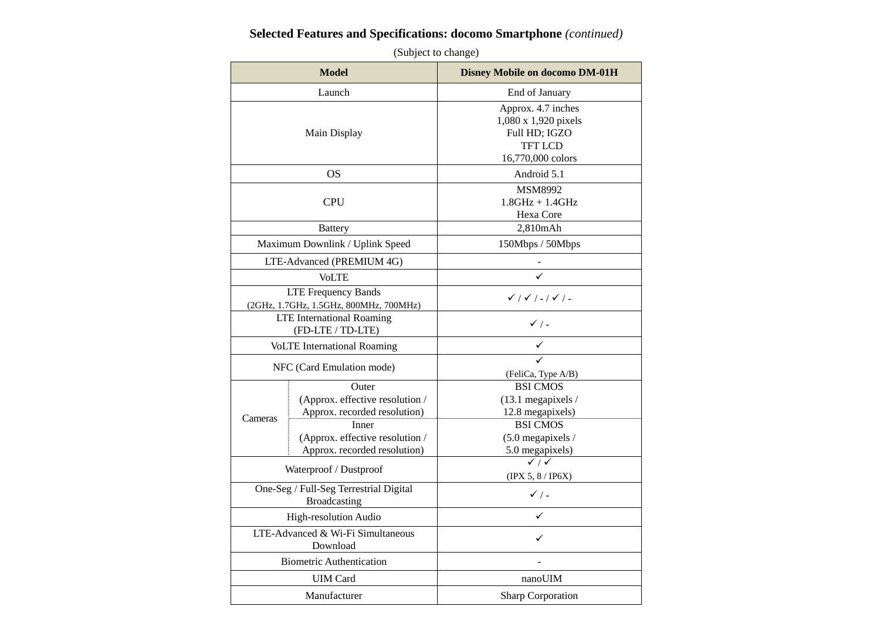#### **Selected Features and Specifications: docomo Smartphone** *(continued)*

| <b>Model</b>                                           |                                                                          | <b>Disney Mobile on docomo DM-01H</b>                                                              |
|--------------------------------------------------------|--------------------------------------------------------------------------|----------------------------------------------------------------------------------------------------|
|                                                        | Launch                                                                   | End of January                                                                                     |
| Main Display                                           |                                                                          | Approx. 4.7 inches<br>1,080 x 1,920 pixels<br>Full HD; IGZO<br><b>TFT LCD</b><br>16,770,000 colors |
|                                                        | OS                                                                       | Android 5.1                                                                                        |
| <b>CPU</b>                                             |                                                                          | <b>MSM8992</b><br>$1.8$ GHz + $1.4$ GHz<br>Hexa Core                                               |
|                                                        | <b>Battery</b>                                                           | 2,810mAh                                                                                           |
|                                                        | Maximum Downlink / Uplink Speed                                          | 150Mbps / 50Mbps                                                                                   |
|                                                        | LTE-Advanced (PREMIUM 4G)                                                |                                                                                                    |
|                                                        | <b>VoLTE</b>                                                             |                                                                                                    |
|                                                        | <b>LTE Frequency Bands</b><br>(2GHz, 1.7GHz, 1.5GHz, 800MHz, 700MHz)     | $\checkmark$ / $\checkmark$ / - / $\checkmark$ / -                                                 |
|                                                        | <b>LTE</b> International Roaming<br>(FD-LTE / TD-LTE)                    | $\checkmark$ / -                                                                                   |
|                                                        | <b>VoLTE</b> International Roaming                                       |                                                                                                    |
| NFC (Card Emulation mode)                              |                                                                          | (FeliCa, Type A/B)                                                                                 |
| Cameras                                                | Outer<br>(Approx. effective resolution /<br>Approx. recorded resolution) | <b>BSI CMOS</b><br>$(13.1$ megapixels /<br>12.8 megapixels)                                        |
|                                                        | Inner<br>(Approx. effective resolution /<br>Approx. recorded resolution) | <b>BSI CMOS</b><br>$(5.0$ megapixels /<br>5.0 megapixels)                                          |
| Waterproof / Dustproof                                 |                                                                          | $\checkmark$ / $\checkmark$<br>(IPX 5, 8/IP6X)                                                     |
| One-Seg / Full-Seg Terrestrial Digital<br>Broadcasting |                                                                          | $\checkmark$ / -                                                                                   |
| High-resolution Audio                                  |                                                                          | ✓                                                                                                  |
| LTE-Advanced & Wi-Fi Simultaneous<br>Download          |                                                                          | ✓                                                                                                  |
|                                                        | <b>Biometric Authentication</b>                                          |                                                                                                    |
|                                                        | <b>UIM</b> Card                                                          | nanoUIM                                                                                            |
| Manufacturer                                           |                                                                          | Sharp Corporation                                                                                  |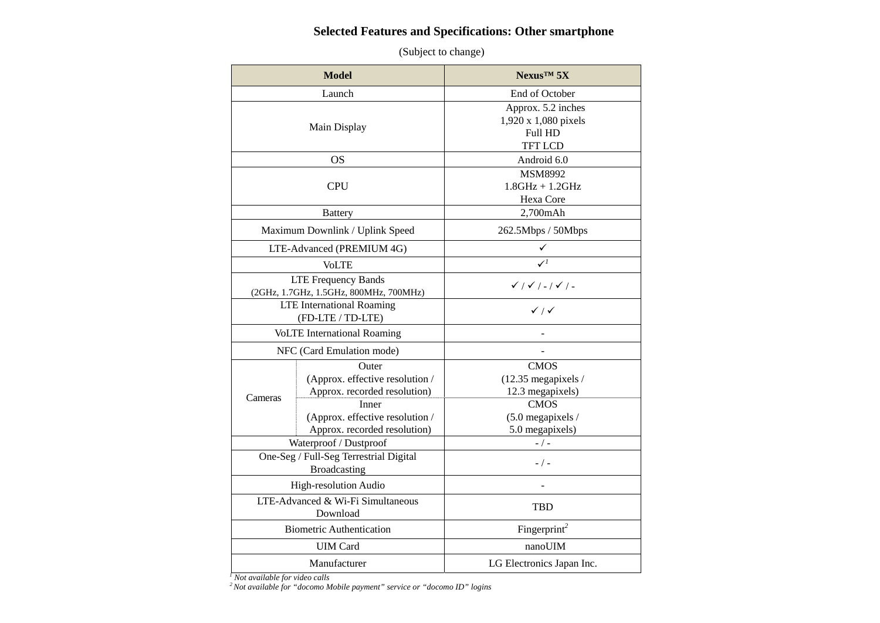#### **Selected Features and Specifications: Other smartphone**

(Subject to change)

| <b>Model</b>                                           |                                                                          | $N$ exus <sup>TM</sup> 5X                                               |
|--------------------------------------------------------|--------------------------------------------------------------------------|-------------------------------------------------------------------------|
|                                                        | Launch                                                                   | End of October                                                          |
| Main Display                                           |                                                                          | Approx. 5.2 inches<br>1,920 x 1,080 pixels<br>Full HD<br><b>TFT LCD</b> |
|                                                        | <b>OS</b>                                                                | Android 6.0                                                             |
|                                                        | <b>CPU</b>                                                               | MSM8992<br>$1.8$ GHz + $1.2$ GHz<br>Hexa Core                           |
|                                                        | <b>Battery</b>                                                           | 2,700mAh                                                                |
|                                                        | Maximum Downlink / Uplink Speed                                          | 262.5Mbps / 50Mbps                                                      |
|                                                        | LTE-Advanced (PREMIUM 4G)                                                | ✓                                                                       |
|                                                        | <b>VoLTE</b>                                                             |                                                                         |
|                                                        | <b>LTE Frequency Bands</b><br>(2GHz, 1.7GHz, 1.5GHz, 800MHz, 700MHz)     | $\checkmark$ / $\checkmark$ / - / $\checkmark$ / -                      |
| <b>LTE</b> International Roaming<br>(FD-LTE / TD-LTE)  |                                                                          | $\checkmark$ / $\checkmark$                                             |
| <b>VoLTE</b> International Roaming                     |                                                                          |                                                                         |
| NFC (Card Emulation mode)                              |                                                                          |                                                                         |
| Cameras                                                | Outer<br>(Approx. effective resolution /<br>Approx. recorded resolution) | <b>CMOS</b><br>(12.35 megapixels /<br>12.3 megapixels)                  |
|                                                        | Inner<br>(Approx. effective resolution /<br>Approx. recorded resolution) | <b>CMOS</b><br>$(5.0$ megapixels /<br>5.0 megapixels)                   |
| Waterproof / Dustproof                                 |                                                                          | $-$ / $-$                                                               |
| One-Seg / Full-Seg Terrestrial Digital<br>Broadcasting |                                                                          | $-$ / $-$                                                               |
| High-resolution Audio                                  |                                                                          |                                                                         |
| LTE-Advanced & Wi-Fi Simultaneous<br>Download          |                                                                          | <b>TBD</b>                                                              |
| <b>Biometric Authentication</b>                        |                                                                          | Fingerprint <sup>2</sup>                                                |
| <b>UIM Card</b>                                        |                                                                          | nanoUIM                                                                 |
| Manufacturer                                           |                                                                          | LG Electronics Japan Inc.                                               |

*1 Not available for video calls*

*2 Not available for "docomo Mobile payment" service or "docomo ID" logins*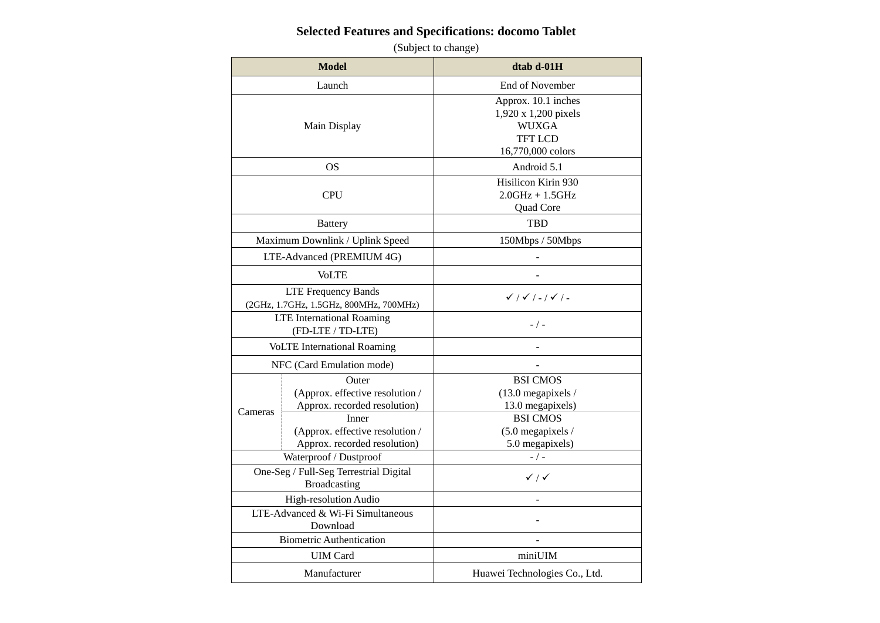## **Selected Features and Specifications: docomo Tablet**

| <b>Model</b>                                                         |                                                                                                                                                      | dtab d-01H                                                                                                             |
|----------------------------------------------------------------------|------------------------------------------------------------------------------------------------------------------------------------------------------|------------------------------------------------------------------------------------------------------------------------|
|                                                                      | Launch                                                                                                                                               | End of November                                                                                                        |
| Main Display                                                         |                                                                                                                                                      | Approx. 10.1 inches<br>1,920 x 1,200 pixels<br><b>WUXGA</b><br><b>TFT LCD</b><br>16,770,000 colors                     |
|                                                                      | OS                                                                                                                                                   | Android 5.1                                                                                                            |
| <b>CPU</b>                                                           |                                                                                                                                                      | Hisilicon Kirin 930<br>$2.0$ GHz + $1.5$ GHz<br>Quad Core                                                              |
|                                                                      | <b>Battery</b>                                                                                                                                       | <b>TBD</b>                                                                                                             |
|                                                                      | Maximum Downlink / Uplink Speed                                                                                                                      | 150Mbps / 50Mbps                                                                                                       |
|                                                                      | LTE-Advanced (PREMIUM 4G)                                                                                                                            |                                                                                                                        |
|                                                                      | <b>VoLTE</b>                                                                                                                                         |                                                                                                                        |
| <b>LTE Frequency Bands</b><br>(2GHz, 1.7GHz, 1.5GHz, 800MHz, 700MHz) |                                                                                                                                                      | $\checkmark$ / $\checkmark$ / - / $\checkmark$ / -                                                                     |
| <b>LTE</b> International Roaming<br>(FD-LTE / TD-LTE)                |                                                                                                                                                      | $-$ / $-$                                                                                                              |
| <b>VoLTE</b> International Roaming                                   |                                                                                                                                                      |                                                                                                                        |
| NFC (Card Emulation mode)                                            |                                                                                                                                                      |                                                                                                                        |
| Cameras                                                              | Outer<br>(Approx. effective resolution /<br>Approx. recorded resolution)<br>Inner<br>(Approx. effective resolution /<br>Approx. recorded resolution) | <b>BSI CMOS</b><br>$(13.0$ megapixels /<br>13.0 megapixels)<br><b>BSI CMOS</b><br>(5.0 megapixels /<br>5.0 megapixels) |
| Waterproof / Dustproof                                               |                                                                                                                                                      | $-/-$                                                                                                                  |
| One-Seg / Full-Seg Terrestrial Digital<br><b>Broadcasting</b>        |                                                                                                                                                      | $\checkmark$ / $\checkmark$                                                                                            |
| High-resolution Audio                                                |                                                                                                                                                      |                                                                                                                        |
| LTE-Advanced & Wi-Fi Simultaneous<br>Download                        |                                                                                                                                                      |                                                                                                                        |
| <b>Biometric Authentication</b>                                      |                                                                                                                                                      |                                                                                                                        |
| <b>UIM Card</b>                                                      |                                                                                                                                                      | miniUIM                                                                                                                |
| Manufacturer                                                         |                                                                                                                                                      | Huawei Technologies Co., Ltd.                                                                                          |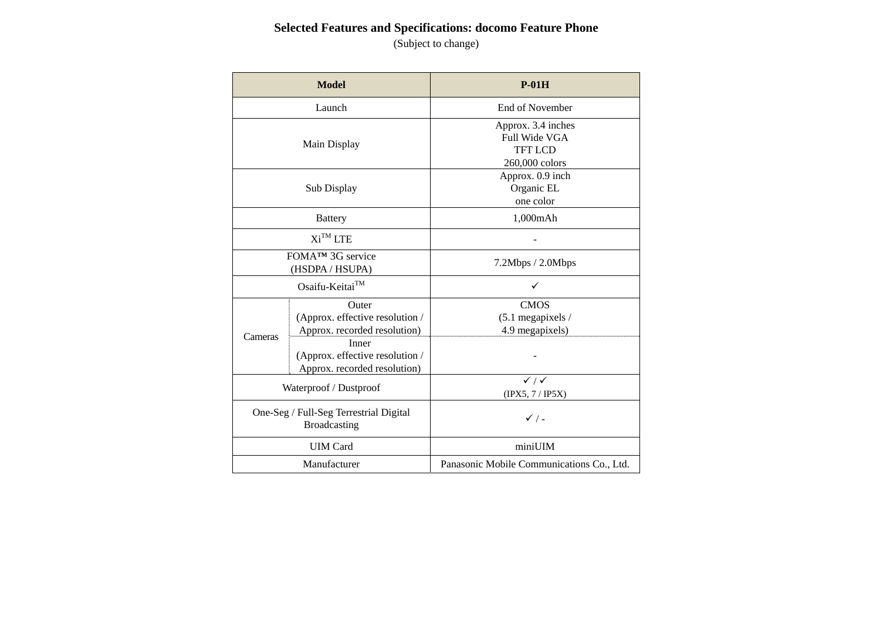# **Selected Features and Specifications: docomo Feature Phone**

| <b>Model</b>                                                  |                                                                          | $P-01H$                                                                        |
|---------------------------------------------------------------|--------------------------------------------------------------------------|--------------------------------------------------------------------------------|
| Launch                                                        |                                                                          | End of November                                                                |
| Main Display                                                  |                                                                          | Approx. 3.4 inches<br><b>Full Wide VGA</b><br><b>TFT LCD</b><br>260,000 colors |
| Sub Display                                                   |                                                                          | Approx. 0.9 inch<br>Organic EL<br>one color                                    |
|                                                               | <b>Battery</b>                                                           | 1,000mAh                                                                       |
| $Xi^{TM}$ LTE                                                 |                                                                          |                                                                                |
| FOMA <sup>™</sup> 3G service<br>(HSDPA / HSUPA)               |                                                                          | 7.2Mbps / 2.0Mbps                                                              |
| Osaifu-Keitai™                                                |                                                                          |                                                                                |
|                                                               | Outer<br>(Approx. effective resolution /<br>Approx. recorded resolution) | <b>CMOS</b><br>$(5.1$ megapixels /<br>4.9 megapixels)                          |
| Cameras                                                       | Inner<br>(Approx. effective resolution /<br>Approx. recorded resolution) |                                                                                |
| Waterproof / Dustproof                                        |                                                                          | $\overline{\checkmark}$ / $\checkmark$<br>(IPX5, 7/IP5X)                       |
| One-Seg / Full-Seg Terrestrial Digital<br><b>Broadcasting</b> |                                                                          | $\checkmark$ / -                                                               |
| <b>UIM</b> Card                                               |                                                                          | miniUIM                                                                        |
| Manufacturer                                                  |                                                                          | Panasonic Mobile Communications Co., Ltd.                                      |